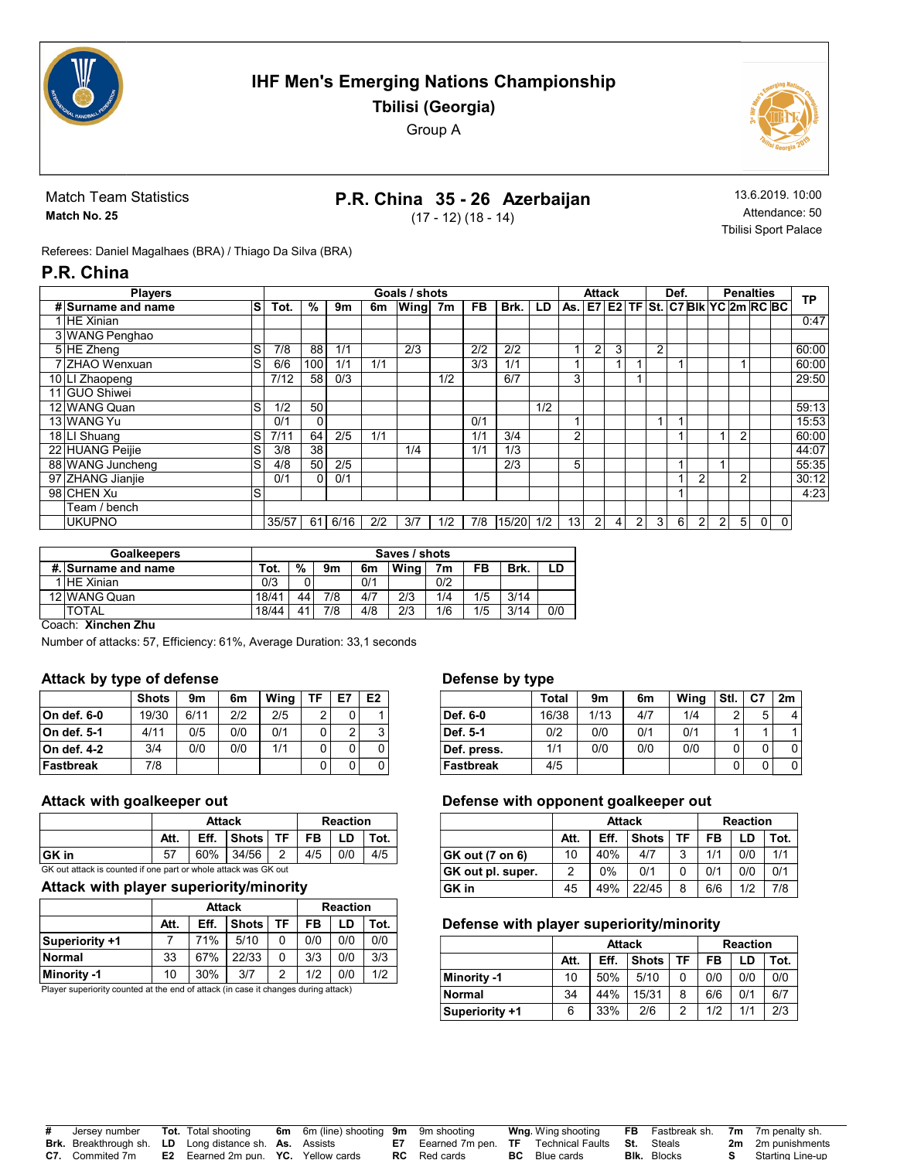

# IHF Men's Emerging Nations Championship Tbilisi (Georgia)

Group A



Match Team Statistics Match No. 25

# P.R. China 35 - 26 Azerbaijan

(17 - 12) (18 - 14)

13.6.2019. 10:00 Attendance: 50 Tbilisi Sport Palace

Referees: Daniel Magalhaes (BRA) / Thiago Da Silva (BRA)

## P.R. China

|                | <b>Players</b>     |    | Goals / shots |     |         |     |      |     |     | <b>Attack</b> |     |                                                       | Def.           |                |                | <b>Penalties</b> |   |                | <b>TP</b>      |                |   |   |       |
|----------------|--------------------|----|---------------|-----|---------|-----|------|-----|-----|---------------|-----|-------------------------------------------------------|----------------|----------------|----------------|------------------|---|----------------|----------------|----------------|---|---|-------|
|                | # Surname and name | ls | Tot.          | %   | 9m      | 6m  | Wing | 7m  | FB. | Brk.          | LD  | As.   E7   E2   TF   St.   C7 Blk   YC   2m   RC   BC |                |                |                |                  |   |                |                |                |   |   |       |
| 1 HE Xinian    |                    |    |               |     |         |     |      |     |     |               |     |                                                       |                |                |                |                  |   |                |                |                |   |   | 0:47  |
|                | 3 WANG Penghao     |    |               |     |         |     |      |     |     |               |     |                                                       |                |                |                |                  |   |                |                |                |   |   |       |
| 5 HE Zheng     |                    | S  | 7/8           | 88  | 1/1     |     | 2/3  |     | 2/2 | 2/2           |     |                                                       | $\overline{2}$ | 3              |                | $\overline{2}$   |   |                |                |                |   |   | 60:00 |
|                | 7 ZHAO Wenxuan     | S  | 6/6           | 100 | 1/1     | 1/1 |      |     | 3/3 | 1/1           |     |                                                       |                |                |                |                  |   |                |                |                |   |   | 60:00 |
| 10 LI Zhaopeng |                    |    | 7/12          | 58  | 0/3     |     |      | 1/2 |     | 6/7           |     | 3                                                     |                |                |                |                  |   |                |                |                |   |   | 29:50 |
| 11 GUO Shiwei  |                    |    |               |     |         |     |      |     |     |               |     |                                                       |                |                |                |                  |   |                |                |                |   |   |       |
|                | 12 WANG Quan       | S  | 1/2           | 50  |         |     |      |     |     |               | 1/2 |                                                       |                |                |                |                  |   |                |                |                |   |   | 59:13 |
| 13 WANG Yu     |                    |    | 0/1           | 0   |         |     |      |     | 0/1 |               |     |                                                       |                |                |                |                  |   |                |                |                |   |   | 15:53 |
| 18 LI Shuang   |                    | S  | 7/11          | 64  | 2/5     | 1/1 |      |     | 1/1 | 3/4           |     | ົ                                                     |                |                |                |                  |   |                |                | $\overline{2}$ |   |   | 60:00 |
|                | 22 HUANG Peijie    | ۱S | 3/8           | 38  |         |     | 1/4  |     | 1/1 | 1/3           |     |                                                       |                |                |                |                  |   |                |                |                |   |   | 44:07 |
|                | 88 WANG Juncheng   | S  | 4/8           | 50  | 2/5     |     |      |     |     | 2/3           |     | 5                                                     |                |                |                |                  |   |                | 1              |                |   |   | 55:35 |
|                | 97 ZHANG Jianjie   |    | 0/1           | 0   | 0/1     |     |      |     |     |               |     |                                                       |                |                |                |                  |   | $\overline{2}$ |                | $\overline{2}$ |   |   | 30:12 |
| 98 CHEN Xu     |                    | S  |               |     |         |     |      |     |     |               |     |                                                       |                |                |                |                  |   |                |                |                |   |   | 4:23  |
|                | Team / bench       |    |               |     |         |     |      |     |     |               |     |                                                       |                |                |                |                  |   |                |                |                |   |   |       |
| <b>UKUPNO</b>  |                    |    | 35/57         |     | 61 6/16 | 2/2 | 3/7  | 1/2 | 7/8 | 15/20         | 1/2 | 13 <sub>1</sub>                                       | 2 <sub>1</sub> | $\overline{4}$ | $\overline{2}$ | 3                | 6 | $\overline{2}$ | 2 <sub>1</sub> | 5              | 0 | 0 |       |

| <b>Goalkeepers</b>  | Saves / shots |    |     |     |      |     |     |      |     |  |  |
|---------------------|---------------|----|-----|-----|------|-----|-----|------|-----|--|--|
| #. Surname and name | Tot.          | %  | 9m  | 6m  | Wina | 7m  | FB  | Brk. |     |  |  |
| <b>HE</b> Xinian    | 0/3           |    |     | 0/1 |      | 0/2 |     |      |     |  |  |
| 12 WANG Quan        | 18/41         | 44 | 7/8 | 4/7 | 2/3  | 1/4 | 1/5 | 3/14 |     |  |  |
| <b>TOTAL</b>        | 18/44         |    | 7/8 | 4/8 | 2/3  | 1/6 | 1/5 | 3/14 | 0/0 |  |  |
| $\sim$ $\sim$<br>-- |               |    |     |     |      |     |     |      |     |  |  |

Coach: Xinchen Zhu

Number of attacks: 57, Efficiency: 61%, Average Duration: 33,1 seconds

### Attack by type of defense

|             | <b>Shots</b> | 9m   | 6m  | Wina | ΤF | E7 | E <sub>2</sub> |
|-------------|--------------|------|-----|------|----|----|----------------|
| On def. 6-0 | 19/30        | 6/11 | 212 | 2/5  | 2  | 0  |                |
| On def. 5-1 | 4/11         | 0/5  | 0/0 | 0/1  | 0  | 2  | 3              |
| On def. 4-2 | 3/4          | 0/0  | 0/0 | 1/1  | 0  | 0  |                |
| Fastbreak   | 7/8          |      |     |      | 0  | 0  |                |

#### Attack with goalkeeper out

|                                                                 |                                               | <b>Attack</b> | <b>Reaction</b> |  |  |  |  |  |  |  |
|-----------------------------------------------------------------|-----------------------------------------------|---------------|-----------------|--|--|--|--|--|--|--|
|                                                                 | Shots TF<br>FB.<br>Eff.<br>LD<br>Att.<br>Tot. |               |                 |  |  |  |  |  |  |  |
| <b>GK</b> in<br>60% 34/56<br>4/5<br>.57<br>0/0<br>2<br>4/5      |                                               |               |                 |  |  |  |  |  |  |  |
| GK out attack is counted if one part or whole attack was GK out |                                               |               |                 |  |  |  |  |  |  |  |

## Attack with player superiority/minority

|                |      | <b>Attack</b>                          | <b>Reaction</b> |     |     |     |     |  |
|----------------|------|----------------------------------------|-----------------|-----|-----|-----|-----|--|
|                | Att. | TF<br><b>Shots</b><br>Eff.<br>FB<br>LD |                 |     |     |     |     |  |
| Superiority +1 |      | 71%                                    | 5/10            | 0   | 0/0 | 0/0 | 0/0 |  |
| Normal         | 33   | 67%                                    | 22/33           | 0   | 3/3 | 0/0 | 3/3 |  |
| Minority -1    | 10   | 30%                                    | 1/2             | 0/0 | 1/2 |     |     |  |

Player superiority counted at the end of attack (in case it changes during attack)

#### Defense by type

|                  | Total | 9m   | 6m  | Wing | Stl. | C7 | 2m |
|------------------|-------|------|-----|------|------|----|----|
| Def. 6-0         | 16/38 | 1/13 | 4/7 | 1/4  | ◠    | 5  |    |
| Def. 5-1         | 0/2   | 0/0  | 0/1 | 0/1  |      |    |    |
| Def. press.      | 1/1   | 0/0  | 0/0 | 0/0  |      | 0  |    |
| <b>Fastbreak</b> | 4/5   |      |     |      |      | 0  |    |

#### Defense with opponent goalkeeper out

|                        |      | <b>Attack</b> |              |    | <b>Reaction</b> |      |     |  |  |
|------------------------|------|---------------|--------------|----|-----------------|------|-----|--|--|
|                        | Att. | Eff.          | <b>Shots</b> | FB | LD              | Tot. |     |  |  |
| <b>GK out (7 on 6)</b> | 10   | 40%           | 4/7          | 3  | 1/1             | 0/0  | 1/1 |  |  |
| GK out pl. super.      | 2    | 0%            | 0/1          |    | 0/1             | 0/0  | 0/1 |  |  |
| GK in                  | 45   | 49%           | 22/45        | 8  | 6/6             | 1/2  | 7/8 |  |  |

### Defense with player superiority/minority

|                |      | <b>Attack</b> |              |    | <b>Reaction</b> |      |     |  |  |
|----------------|------|---------------|--------------|----|-----------------|------|-----|--|--|
|                | Att. | Eff.          | <b>Shots</b> | FB | LD              | Tot. |     |  |  |
| Minority -1    | 10   | 50%           | 5/10         |    | 0/0             | 0/0  | 0/0 |  |  |
| Normal         | 34   | 44%           | 15/31        | 8  | 6/6             | 0/1  | 6/7 |  |  |
| Superiority +1 | 6    | 33%           | 2/6          |    | 1/2             | 1/1  | 2/3 |  |  |

| # | Jersey number          | <b>Tot.</b> Total shooting                                    | <b>6m</b> 6m (line) shooting 9m 9m shooting |                                                                        |    | <b>Wng</b> Wing shooting |                    | <b>FB</b> Fastbreak sh. 7m 7m penalty sh. |
|---|------------------------|---------------------------------------------------------------|---------------------------------------------|------------------------------------------------------------------------|----|--------------------------|--------------------|-------------------------------------------|
|   |                        | <b>Brk.</b> Breakthrough sh. LD Long distance sh. As. Assists |                                             | <b>E7</b> Eearned 7m pen. <b>TF</b> Technical Faults <b>St.</b> Steals |    |                          |                    | <b>2m</b> 2m punishments                  |
|   | <b>C7.</b> Commited 7m | <b>E2</b> Eearned 2m pun. <b>YC.</b> Yellow cards             |                                             | <b>RC</b> Red cards                                                    | BC | Blue cards               | <b>Blk.</b> Blocks | Starting Line-up                          |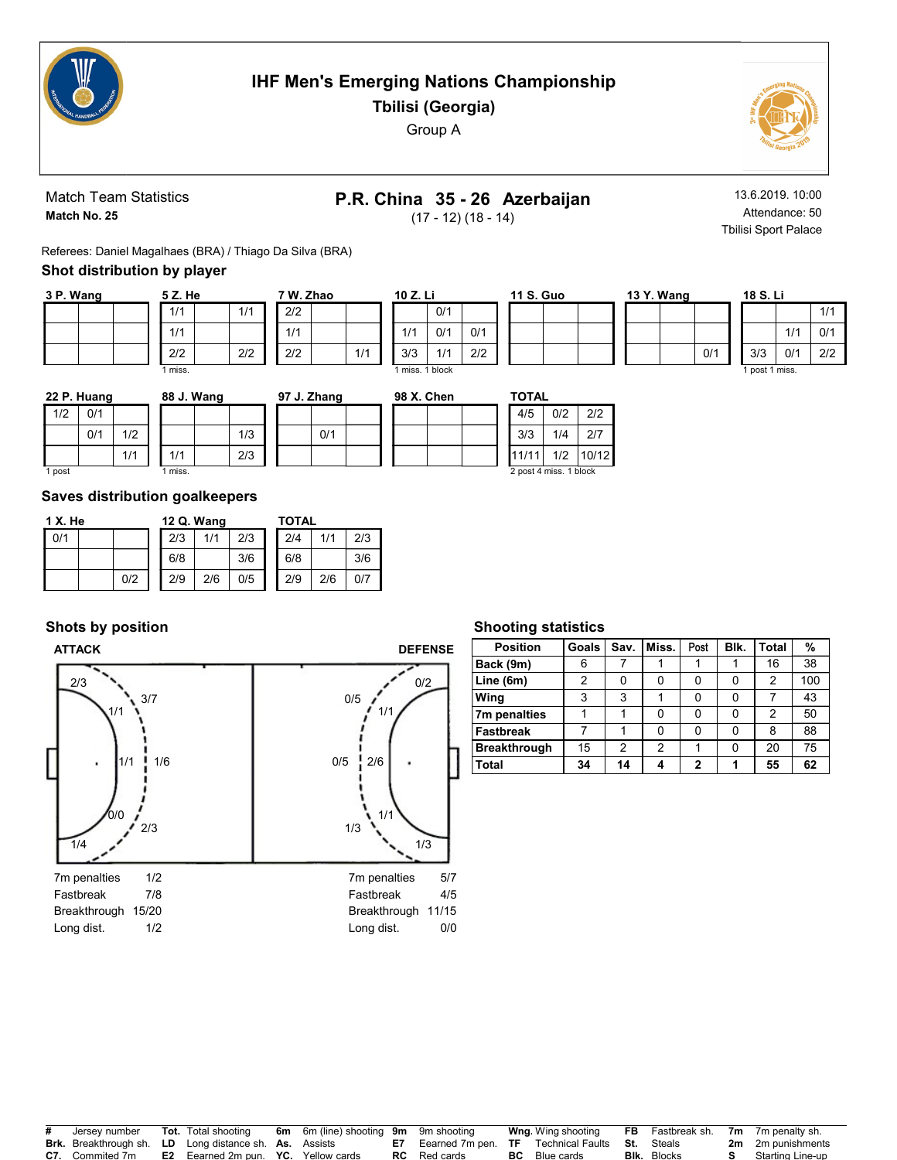

# IHF Men's Emerging Nations Championship

Tbilisi (Georgia) Group A



Match Team Statistics Match No. 25

# P.R. China 35 - 26 Azerbaijan

(17 - 12) (18 - 14)

13.6.2019. 10:00 Attendance: 50 Tbilisi Sport Palace

Referees: Daniel Magalhaes (BRA) / Thiago Da Silva (BRA)

## Shot distribution by player

| 3 P. Wang |  | 5 Z. He |     |
|-----------|--|---------|-----|
|           |  | 1/1     | 1/1 |
|           |  | 1/1     |     |
|           |  | 2/2     | 2/2 |
|           |  | 1 miss. |     |

| 7 W. Zhao |     | 10 Z. Li        |     |     |
|-----------|-----|-----------------|-----|-----|
| 2/2       |     |                 | 0/1 |     |
| 1/1       |     | 1/1             | 0/1 | 0/1 |
| 2/2       | 1/1 | 3/3             | 1/1 | 2/2 |
|           |     | 1 miss, 1 block |     |     |

| 13 Y. Wang |     |  |
|------------|-----|--|
|            |     |  |
|            |     |  |
|            | 0/1 |  |
|            |     |  |

|     |                | 18 S. Li |     |     |  |  |  |  |  |  |  |
|-----|----------------|----------|-----|-----|--|--|--|--|--|--|--|
|     |                |          |     | 1/1 |  |  |  |  |  |  |  |
|     |                |          | 1/1 | 0/1 |  |  |  |  |  |  |  |
| )/1 |                | 3/3      | 0/1 | 2/2 |  |  |  |  |  |  |  |
|     | 1 post 1 miss. |          |     |     |  |  |  |  |  |  |  |

|        | 22 P. Huang |     | 88 J. Wang |     | 97 J. Zhang | 98 X. Chen | <b>TOTAL</b>           |     |       |
|--------|-------------|-----|------------|-----|-------------|------------|------------------------|-----|-------|
| 1/2    | 0/1         |     |            |     |             |            | 4/5                    | 0/2 | 2/2   |
|        | 0/1         | 1/2 |            | 1/3 | 0/1         |            | 3/3                    | 1/4 | 2/7   |
|        |             | 1/1 | 1/1        | 2/3 |             |            | 11/11                  | 1/2 | 10/12 |
| i post |             |     | miss.      |     |             |            | 2 post 4 miss. 1 block |     |       |

1 post

#### Saves distribution goalkeepers

| 1 X. He |     | 12 Q. Wang |     |     | TOTAL |     |     |
|---------|-----|------------|-----|-----|-------|-----|-----|
| 0/1     |     | 2/3        | 1/1 | 2/3 | 2/4   | 1/1 | 2/3 |
|         |     | 6/8        |     | 3/6 | 6/8   |     | 3/6 |
|         | 0/2 | 2/9        | 2/6 | 0/5 | 2/9   | 2/6 | 0/7 |

### Shots by position



#### Shooting statistics

11 S. Guo

| <b>Position</b>     | Goals | Sav. | Miss. | Post | Blk. | <b>Total</b> | %   |
|---------------------|-------|------|-------|------|------|--------------|-----|
| Back (9m)           | 6     |      |       |      |      | 16           | 38  |
| Line (6m)           | 2     |      |       |      | 0    | 2            | 100 |
| Wing                | 3     | 3    |       |      | 0    |              | 43  |
| 7m penalties        |       |      | ŋ     |      | 0    | 2            | 50  |
| <b>Fastbreak</b>    |       |      |       |      | U    | 8            | 88  |
| <b>Breakthrough</b> | 15    | 2    | 2     |      | 0    | 20           | 75  |
| Total               | 34    | 14   |       | ,    | 4    | 55           | 62  |

| # | Jersey number          | <b>Tot.</b> Total shooting                                    | <b>6m</b> 6m (line) shooting 9m 9m shooting |                                                                        |    | <b>Wng</b> Wing shooting |                    | <b>FB</b> Fastbreak sh. 7m 7m penalty sh. |
|---|------------------------|---------------------------------------------------------------|---------------------------------------------|------------------------------------------------------------------------|----|--------------------------|--------------------|-------------------------------------------|
|   |                        | <b>Brk.</b> Breakthrough sh. LD Long distance sh. As. Assists |                                             | <b>E7</b> Eearned 7m pen. <b>TF</b> Technical Faults <b>St.</b> Steals |    |                          |                    | <b>2m</b> 2m punishments                  |
|   | <b>C7.</b> Commited 7m | <b>E2</b> Eearned 2m pun. YC. Yellow cards                    |                                             | <b>RC</b> Red cards                                                    | BС | Blue cards               | <b>Blk.</b> Blocks | Starting Line-up                          |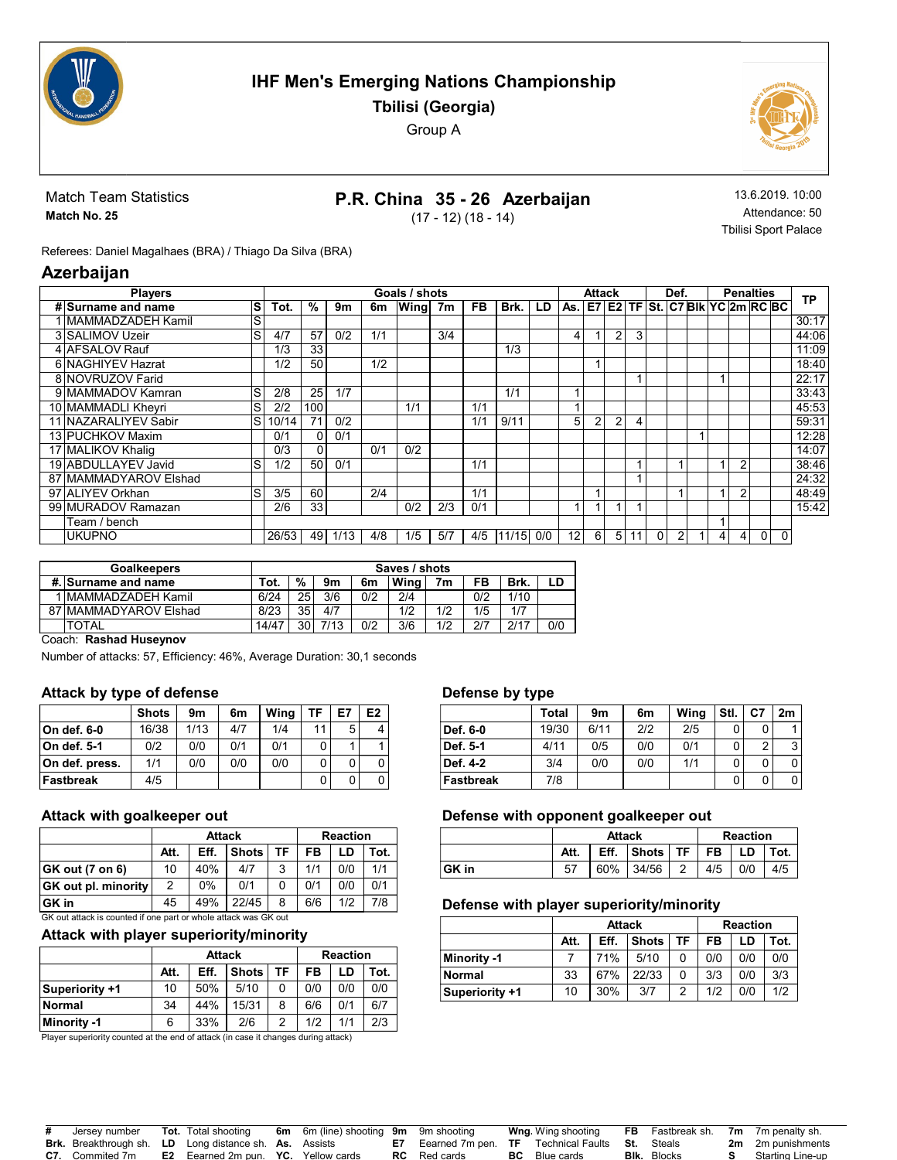

# IHF Men's Emerging Nations Championship Tbilisi (Georgia)

Group A

Match Team Statistics Match No. 25

# P.R. China 35 - 26 Azerbaijan

(17 - 12) (18 - 14)

13.6.2019. 10:00 Attendance: 50 Tbilisi Sport Palace

Referees: Daniel Magalhaes (BRA) / Thiago Da Silva (BRA)

## Azerbaijan

| <b>Players</b>        |    |       |     |      |     | Goals / shots |     |           |       |     |    | Attack |                |                |          | Def. |   |   | <b>Penalties</b>                                                           |          | <b>TP</b> |
|-----------------------|----|-------|-----|------|-----|---------------|-----|-----------|-------|-----|----|--------|----------------|----------------|----------|------|---|---|----------------------------------------------------------------------------|----------|-----------|
| # Surname and name    | S  | Tot.  | %   | 9m   | 6m  | Wing 7m       |     | <b>FB</b> | Brk.  | LD  |    |        |                |                |          |      |   |   | $\overline{a}$ As, $\overline{c}$ E2 TF St, $\overline{c}$ Bik YC 2m RC BC |          |           |
| I MAMMADZADEH Kamil   | lS |       |     |      |     |               |     |           |       |     |    |        |                |                |          |      |   |   |                                                                            |          | 30:17     |
| 3 SALIMOV Uzeir       | S  | 4/7   | 57  | 0/2  | 1/1 |               | 3/4 |           |       |     | 4  |        | $\overline{2}$ | 3              |          |      |   |   |                                                                            |          | 44:06     |
| 4 AFSALOV Rauf        |    | 1/3   | 33  |      |     |               |     |           | 1/3   |     |    |        |                |                |          |      |   |   |                                                                            |          | 11:09     |
| 6 NAGHIYEV Hazrat     |    | 1/2   | 50  |      | 1/2 |               |     |           |       |     |    |        |                |                |          |      |   |   |                                                                            |          | 18:40     |
| 8 NOVRUZOV Farid      |    |       |     |      |     |               |     |           |       |     |    |        |                |                |          |      |   |   |                                                                            |          | 22:17     |
| 9 MAMMADOV Kamran     | lS | 2/8   | 25  | 1/7  |     |               |     |           | 1/1   |     |    |        |                |                |          |      |   |   |                                                                            |          | 33:43     |
| 10 MAMMADLI Kheyri    | S  | 2/2   | 100 |      |     | 1/1           |     | 1/1       |       |     |    |        |                |                |          |      |   |   |                                                                            |          | 45:53     |
| 11 NAZARALIYEV Sabir  | lS | 10/14 | 71  | 0/2  |     |               |     | 1/1       | 9/11  |     | 5  | 2      | $\overline{2}$ | $\overline{4}$ |          |      |   |   |                                                                            |          | 59:31     |
| 13 PUCHKOV Maxim      |    | 0/1   | 0   | 0/1  |     |               |     |           |       |     |    |        |                |                |          |      |   |   |                                                                            |          | 12:28     |
| 17 MALIKOV Khalig     |    | 0/3   | 0   |      | 0/1 | 0/2           |     |           |       |     |    |        |                |                |          |      |   |   |                                                                            |          | 14:07     |
| 19 ABDULLAYEV Javid   | lS | 1/2   | 50  | 0/1  |     |               |     | 1/1       |       |     |    |        |                |                |          | 1    |   | 2 |                                                                            |          | 38:46     |
| 87 MAMMADYAROV Elshad |    |       |     |      |     |               |     |           |       |     |    |        |                |                |          |      |   |   |                                                                            |          | 24:32     |
| 97 ALIYEV Orkhan      | S  | 3/5   | 60  |      | 2/4 |               |     | 1/1       |       |     |    |        |                |                |          |      |   | 2 |                                                                            |          | 48:49     |
| 99 MURADOV Ramazan    |    | 2/6   | 33  |      |     | 0/2           | 2/3 | 0/1       |       |     |    |        |                |                |          |      |   |   |                                                                            |          | 15:42     |
| Team / bench          |    |       |     |      |     |               |     |           |       |     |    |        |                |                |          |      |   |   |                                                                            |          |           |
| <b>UKUPNO</b>         |    | 26/53 | 49  | 1/13 | 4/8 | 1/5           | 5/7 | 4/5       | 11/15 | 0/0 | 12 | 6      | 5              | 11             | $\Omega$ | 2    | 4 | 4 | $\Omega$                                                                   | $\Omega$ |           |

| <b>Goalkeepers</b>    | Saves / shots |               |      |     |      |     |     |      |     |  |  |
|-----------------------|---------------|---------------|------|-----|------|-----|-----|------|-----|--|--|
| #. Surname and name   | Tot.          | $\frac{9}{6}$ | 9m   | 6m  | Wina | 7m  | FB  | Brk. |     |  |  |
| MAMMADZADEH Kamil     | 6/24          | 25            | 3/6  | 0/2 | 2/4  |     | 0/2 | 1/10 |     |  |  |
| 87 MAMMADYAROV Elshad | 8/23          | 35            | 4/7  |     | 1/2  | 1/2 | 1/5 | 1/7  |     |  |  |
| <b>TOTAL</b>          | 14/47         | 30            | 7/12 | 0/2 | 3/6  | 1/2 | 0/7 | 2/17 | 0/0 |  |  |

### Coach: Rashad Huseynov

Number of attacks: 57, Efficiency: 46%, Average Duration: 30,1 seconds

### Attack by type of defense

|                | <b>Shots</b> | 9m   | 6m  | Wina | TF | E7 | E <sub>2</sub> |
|----------------|--------------|------|-----|------|----|----|----------------|
| ∣On def. 6-0   | 16/38        | 1/13 | 4/7 | 1/4  | 11 | 5  |                |
| On def. 5-1    | 0/2          | 0/0  | 0/1 | 0/1  | 0  |    |                |
| On def. press. | 1/1          | 0/0  | 0/0 | 0/0  | 0  | 0  |                |
| Fastbreak      | 4/5          |      |     |      | 0  | 0  |                |

### Attack with goalkeeper out

|                                                                 |      | <b>Attack</b> |              |    |     | <b>Reaction</b> |      |  |  |  |  |  |
|-----------------------------------------------------------------|------|---------------|--------------|----|-----|-----------------|------|--|--|--|--|--|
|                                                                 | Att. | Eff.          | <b>Shots</b> | TF | FB  | LD              | Tot. |  |  |  |  |  |
| GK out (7 on 6)                                                 | 10   | 40%           | 4/7          | 3  | 1/1 | 0/0             | 1/1  |  |  |  |  |  |
| <b>GK</b> out pl. minority                                      | 2    | 0%            | 0/1          | 0  | 0/1 | 0/0             | 0/1  |  |  |  |  |  |
| ∣GK in                                                          | 45   | 49%           | 22/45        | 8  | 6/6 | 1/2             | 7/8  |  |  |  |  |  |
| GK out attack is counted if one part or whole attack was GK out |      |               |              |    |     |                 |      |  |  |  |  |  |

### Attack with player superiority/minority

|                       |      | <b>Attack</b> |              |    |     | <b>Reaction</b> |      |
|-----------------------|------|---------------|--------------|----|-----|-----------------|------|
|                       | Att. | Eff.          | <b>Shots</b> | TF | FB  | LD              | Tot. |
| <b>Superiority +1</b> | 10   | 50%           | 5/10         | 0  | 0/0 | 0/0             | 0/0  |
| Normal                | 34   | 44%           | 15/31        | 8  | 6/6 | 0/1             | 6/7  |
| Minority -1           | 6    | 33%           | 2/6          | 2  | 1/2 | 1/1             | 2/3  |

Player superiority counted at the end of attack (in case it changes during attack)

### Defense by type

|                  | Total | 9m   | 6m  | Wing | Stl. | C7 | 2m |
|------------------|-------|------|-----|------|------|----|----|
| Def. 6-0         | 19/30 | 6/11 | 2/2 | 2/5  |      | 0  |    |
| Def. 5-1         | 4/11  | 0/5  | 0/0 | 0/1  |      | ◠  | 3  |
| Def. 4-2         | 3/4   | 0/0  | 0/0 | 1/1  |      | 0  |    |
| <b>Fastbreak</b> | 7/8   |      |     |      |      | 0  |    |

### Defense with opponent goalkeeper out

|       |      | <b>Attack</b> |              |           | <b>Reaction</b><br>FB<br>4/5<br>0/0 |  |      |
|-------|------|---------------|--------------|-----------|-------------------------------------|--|------|
|       | Att. | Eff.          | <b>Shots</b> | <b>TF</b> |                                     |  | Tot. |
| GK in | 57   | 60%           | 34/56        |           |                                     |  | 4/5  |

### Defense with player superiority/minority

|                |      | <b>Attack</b> |              |    | <b>Reaction</b> |     |      |  |  |
|----------------|------|---------------|--------------|----|-----------------|-----|------|--|--|
|                | Att. | Eff.          | <b>Shots</b> | ΤF | FB              | LD  | Tot. |  |  |
| Minority -1    |      | 71%           | 5/10         |    | 0/0             | 0/0 | 0/0  |  |  |
| Normal         | 33   | 67%           | 22/33        |    | 3/3             | 0/0 | 3/3  |  |  |
| Superiority +1 | 10   | 30%           | 3/7          | っ  | 1/2             | 0/0 | 1/2  |  |  |

| # | Jersev number                                                 | <b>Tot.</b> Total shooting                        | 6m 6m (line) shooting 9m 9m shooting |                                                                        | <b>Wng</b> Wing shooting |                    | <b>FB</b> Fastbreak sh. 7m 7m penalty sh. |
|---|---------------------------------------------------------------|---------------------------------------------------|--------------------------------------|------------------------------------------------------------------------|--------------------------|--------------------|-------------------------------------------|
|   | <b>Brk.</b> Breakthrough sh. LD Long distance sh. As. Assists |                                                   |                                      | <b>E7</b> Eearned 7m pen. <b>TF</b> Technical Faults <b>St.</b> Steals |                          |                    | <b>2m</b> 2m punishments                  |
|   | <b>C7.</b> Commited 7m                                        | <b>E2</b> Eearned 2m pun. <b>YC.</b> Yellow cards |                                      | <b>RC</b> Red cards                                                    | <b>BC</b> Blue cards     | <b>BIK.</b> Blocks | Starting Line-up                          |